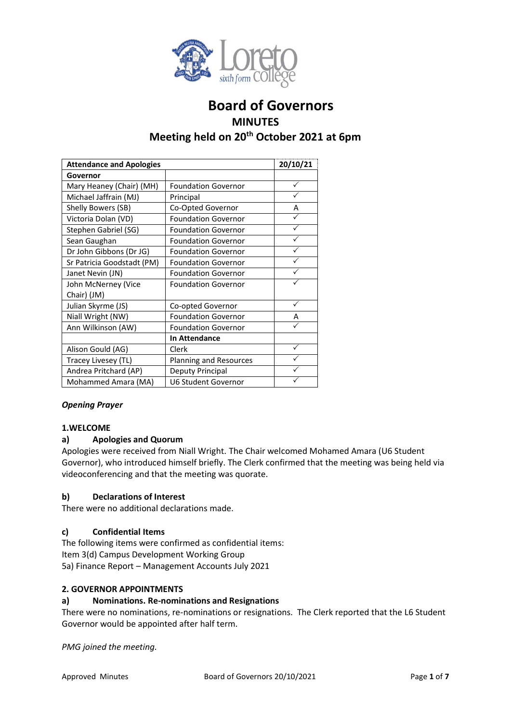

# **Board of Governors MINUTES Meeting held on 20th October 2021 at 6pm**

| <b>Attendance and Apologies</b> |                            | 20/10/21 |
|---------------------------------|----------------------------|----------|
| Governor                        |                            |          |
| Mary Heaney (Chair) (MH)        | <b>Foundation Governor</b> | ✓        |
| Michael Jaffrain (MJ)           | Principal                  |          |
| Shelly Bowers (SB)              | Co-Opted Governor          | А        |
| Victoria Dolan (VD)             | <b>Foundation Governor</b> |          |
| Stephen Gabriel (SG)            | <b>Foundation Governor</b> |          |
| Sean Gaughan                    | <b>Foundation Governor</b> |          |
| Dr John Gibbons (Dr JG)         | <b>Foundation Governor</b> |          |
| Sr Patricia Goodstadt (PM)      | <b>Foundation Governor</b> |          |
| Janet Nevin (JN)                | <b>Foundation Governor</b> |          |
| John McNerney (Vice             | <b>Foundation Governor</b> |          |
| Chair) (JM)                     |                            |          |
| Julian Skyrme (JS)              | Co-opted Governor          |          |
| Niall Wright (NW)               | <b>Foundation Governor</b> | А        |
| Ann Wilkinson (AW)              | <b>Foundation Governor</b> |          |
|                                 | <b>In Attendance</b>       |          |
| Alison Gould (AG)               | Clerk                      |          |
| Tracey Livesey (TL)             | Planning and Resources     |          |
| Andrea Pritchard (AP)           | Deputy Principal           |          |
| Mohammed Amara (MA)             | <b>U6 Student Governor</b> | ✓        |

## *Opening Prayer*

## **1.WELCOME**

## **a) Apologies and Quorum**

Apologies were received from Niall Wright. The Chair welcomed Mohamed Amara (U6 Student Governor), who introduced himself briefly. The Clerk confirmed that the meeting was being held via videoconferencing and that the meeting was quorate.

## **b) Declarations of Interest**

There were no additional declarations made.

# **c) Confidential Items**

The following items were confirmed as confidential items: Item 3(d) Campus Development Working Group 5a) Finance Report – Management Accounts July 2021

## **2. GOVERNOR APPOINTMENTS**

## **a) Nominations. Re-nominations and Resignations**

There were no nominations, re-nominations or resignations. The Clerk reported that the L6 Student Governor would be appointed after half term.

*PMG joined the meeting.*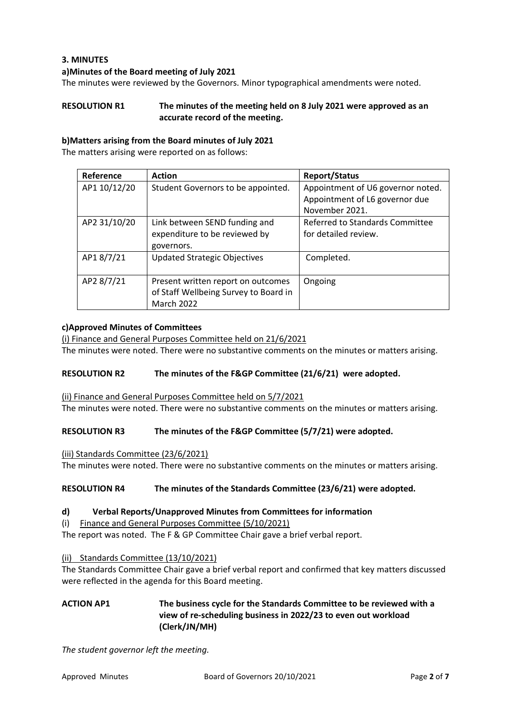# **3. MINUTES**

### **a)Minutes of the Board meeting of July 2021**

The minutes were reviewed by the Governors. Minor typographical amendments were noted.

# **RESOLUTION R1 The minutes of the meeting held on 8 July 2021 were approved as an accurate record of the meeting.**

### **b)Matters arising from the Board minutes of July 2021**

The matters arising were reported on as follows:

| Reference    | <b>Action</b>                                                                                    | <b>Report/Status</b>                                                                  |
|--------------|--------------------------------------------------------------------------------------------------|---------------------------------------------------------------------------------------|
| AP1 10/12/20 | Student Governors to be appointed.                                                               | Appointment of U6 governor noted.<br>Appointment of L6 governor due<br>November 2021. |
| AP2 31/10/20 | Link between SEND funding and<br>expenditure to be reviewed by<br>governors.                     | Referred to Standards Committee<br>for detailed review.                               |
| AP18/7/21    | <b>Updated Strategic Objectives</b>                                                              | Completed.                                                                            |
| AP2 8/7/21   | Present written report on outcomes<br>of Staff Wellbeing Survey to Board in<br><b>March 2022</b> | Ongoing                                                                               |

### **c)Approved Minutes of Committees**

(i) Finance and General Purposes Committee held on 21/6/2021

The minutes were noted. There were no substantive comments on the minutes or matters arising.

#### **RESOLUTION R2 The minutes of the F&GP Committee (21/6/21) were adopted.**

(ii) Finance and General Purposes Committee held on 5/7/2021

The minutes were noted. There were no substantive comments on the minutes or matters arising.

#### **RESOLUTION R3 The minutes of the F&GP Committee (5/7/21) were adopted.**

(iii) Standards Committee (23/6/2021)

The minutes were noted. There were no substantive comments on the minutes or matters arising.

#### **RESOLUTION R4 The minutes of the Standards Committee (23/6/21) were adopted.**

#### **d) Verbal Reports/Unapproved Minutes from Committees for information**

(i) Finance and General Purposes Committee (5/10/2021)

The report was noted. The F & GP Committee Chair gave a brief verbal report.

(ii) Standards Committee (13/10/2021)

The Standards Committee Chair gave a brief verbal report and confirmed that key matters discussed were reflected in the agenda for this Board meeting.

# **ACTION AP1 The business cycle for the Standards Committee to be reviewed with a view of re-scheduling business in 2022/23 to even out workload (Clerk/JN/MH)**

*The student governor left the meeting.*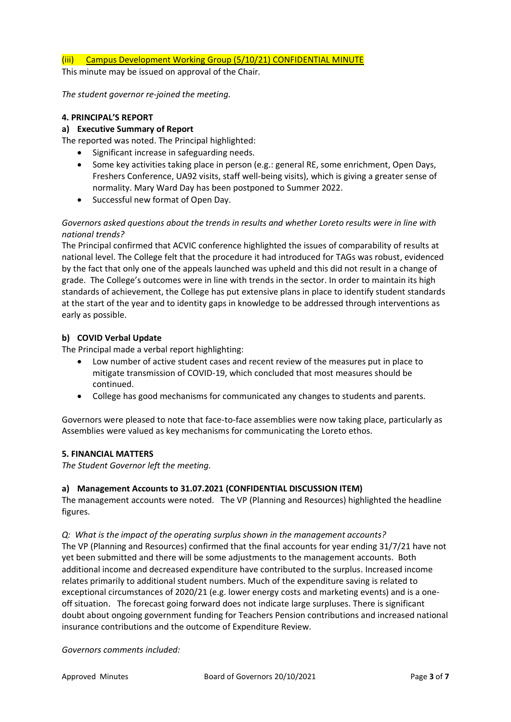## (iii) Campus Development Working Group (5/10/21) CONFIDENTIAL MINUTE

This minute may be issued on approval of the Chair.

*The student governor re-joined the meeting.* 

## **4. PRINCIPAL'S REPORT**

### **a) Executive Summary of Report**

The reported was noted. The Principal highlighted:

- Significant increase in safeguarding needs.
- Some key activities taking place in person (e.g.: general RE, some enrichment, Open Days, Freshers Conference, UA92 visits, staff well-being visits), which is giving a greater sense of normality. Mary Ward Day has been postponed to Summer 2022.
- Successful new format of Open Day.

# *Governors asked questions about the trends in results and whether Loreto results were in line with national trends?*

The Principal confirmed that ACVIC conference highlighted the issues of comparability of results at national level. The College felt that the procedure it had introduced for TAGs was robust, evidenced by the fact that only one of the appeals launched was upheld and this did not result in a change of grade. The College's outcomes were in line with trends in the sector. In order to maintain its high standards of achievement, the College has put extensive plans in place to identify student standards at the start of the year and to identity gaps in knowledge to be addressed through interventions as early as possible.

## **b) COVID Verbal Update**

The Principal made a verbal report highlighting:

- Low number of active student cases and recent review of the measures put in place to mitigate transmission of COVID-19, which concluded that most measures should be continued.
- College has good mechanisms for communicated any changes to students and parents.

Governors were pleased to note that face-to-face assemblies were now taking place, particularly as Assemblies were valued as key mechanisms for communicating the Loreto ethos.

## **5. FINANCIAL MATTERS**

*The Student Governor left the meeting.* 

## **a) Management Accounts to 31.07.2021 (CONFIDENTIAL DISCUSSION ITEM)**

The management accounts were noted. The VP (Planning and Resources) highlighted the headline figures.

#### *Q: What is the impact of the operating surplus shown in the management accounts?*

The VP (Planning and Resources) confirmed that the final accounts for year ending 31/7/21 have not yet been submitted and there will be some adjustments to the management accounts. Both additional income and decreased expenditure have contributed to the surplus. Increased income relates primarily to additional student numbers. Much of the expenditure saving is related to exceptional circumstances of 2020/21 (e.g. lower energy costs and marketing events) and is a oneoff situation. The forecast going forward does not indicate large surpluses. There is significant doubt about ongoing government funding for Teachers Pension contributions and increased national insurance contributions and the outcome of Expenditure Review.

*Governors comments included:*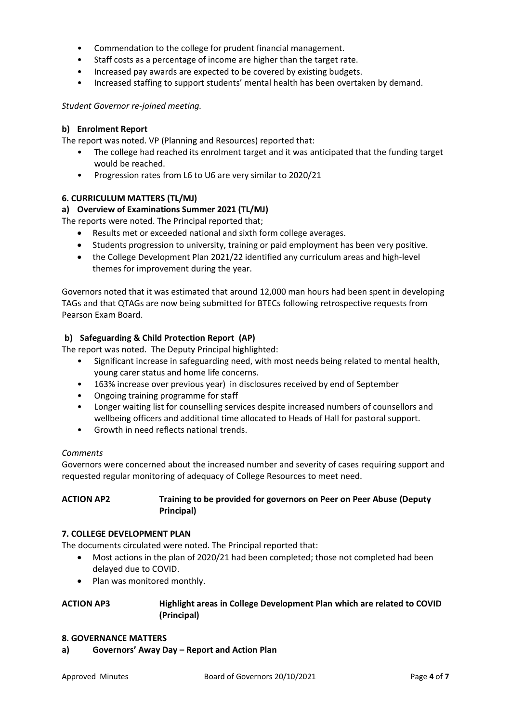- Commendation to the college for prudent financial management.
- Staff costs as a percentage of income are higher than the target rate.
- Increased pay awards are expected to be covered by existing budgets.
- Increased staffing to support students' mental health has been overtaken by demand.

*Student Governor re-joined meeting.* 

## **b) Enrolment Report**

The report was noted. VP (Planning and Resources) reported that:

- The college had reached its enrolment target and it was anticipated that the funding target would be reached.
- Progression rates from L6 to U6 are very similar to 2020/21

## **6. CURRICULUM MATTERS (TL/MJ)**

# **a) Overview of Examinations Summer 2021 (TL/MJ)**

The reports were noted. The Principal reported that;

- Results met or exceeded national and sixth form college averages.
- Students progression to university, training or paid employment has been very positive.
- the College Development Plan 2021/22 identified any curriculum areas and high-level themes for improvement during the year.

Governors noted that it was estimated that around 12,000 man hours had been spent in developing TAGs and that QTAGs are now being submitted for BTECs following retrospective requests from Pearson Exam Board.

## **b) Safeguarding & Child Protection Report (AP)**

The report was noted. The Deputy Principal highlighted:

- Significant increase in safeguarding need, with most needs being related to mental health, young carer status and home life concerns.
- 163% increase over previous year) in disclosures received by end of September
- Ongoing training programme for staff
- Longer waiting list for counselling services despite increased numbers of counsellors and wellbeing officers and additional time allocated to Heads of Hall for pastoral support.
- Growth in need reflects national trends.

## *Comments*

Governors were concerned about the increased number and severity of cases requiring support and requested regular monitoring of adequacy of College Resources to meet need.

## **ACTION AP2 Training to be provided for governors on Peer on Peer Abuse (Deputy Principal)**

#### **7. COLLEGE DEVELOPMENT PLAN**

The documents circulated were noted. The Principal reported that:

- Most actions in the plan of 2020/21 had been completed; those not completed had been delayed due to COVID.
- Plan was monitored monthly.

# **ACTION AP3 Highlight areas in College Development Plan which are related to COVID (Principal)**

## **8. GOVERNANCE MATTERS**

**a) Governors' Away Day – Report and Action Plan**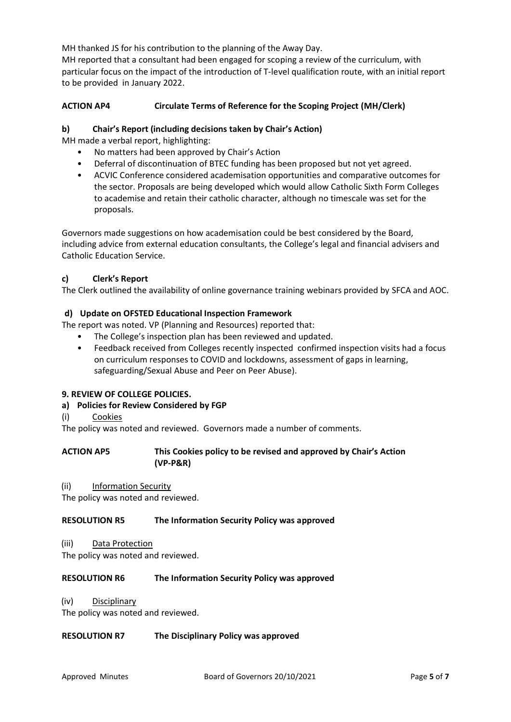MH thanked JS for his contribution to the planning of the Away Day.

MH reported that a consultant had been engaged for scoping a review of the curriculum, with particular focus on the impact of the introduction of T-level qualification route, with an initial report to be provided in January 2022.

# **ACTION AP4 Circulate Terms of Reference for the Scoping Project (MH/Clerk)**

### **b) Chair's Report (including decisions taken by Chair's Action)**

MH made a verbal report, highlighting:

- No matters had been approved by Chair's Action
- Deferral of discontinuation of BTEC funding has been proposed but not yet agreed.
- ACVIC Conference considered academisation opportunities and comparative outcomes for the sector. Proposals are being developed which would allow Catholic Sixth Form Colleges to academise and retain their catholic character, although no timescale was set for the proposals.

Governors made suggestions on how academisation could be best considered by the Board, including advice from external education consultants, the College's legal and financial advisers and Catholic Education Service.

### **c) Clerk's Report**

The Clerk outlined the availability of online governance training webinars provided by SFCA and AOC.

## **d) Update on OFSTED Educational Inspection Framework**

The report was noted. VP (Planning and Resources) reported that:

- The College's inspection plan has been reviewed and updated.
- Feedback received from Colleges recently inspected confirmed inspection visits had a focus on curriculum responses to COVID and lockdowns, assessment of gaps in learning, safeguarding/Sexual Abuse and Peer on Peer Abuse).

## **9. REVIEW OF COLLEGE POLICIES.**

## **a) Policies for Review Considered by FGP**

(i) Cookies

The policy was noted and reviewed. Governors made a number of comments.

| <b>ACTION AP5</b> | This Cookies policy to be revised and approved by Chair's Action |
|-------------------|------------------------------------------------------------------|
|                   | $(VP-PSR)$                                                       |

(ii) Information Security

The policy was noted and reviewed.

#### **RESOLUTION R5 The Information Security Policy was approved**

(iii) Data Protection

The policy was noted and reviewed.

#### **RESOLUTION R6 The Information Security Policy was approved**

(iv) Disciplinary

The policy was noted and reviewed.

#### **RESOLUTION R7 The Disciplinary Policy was approved**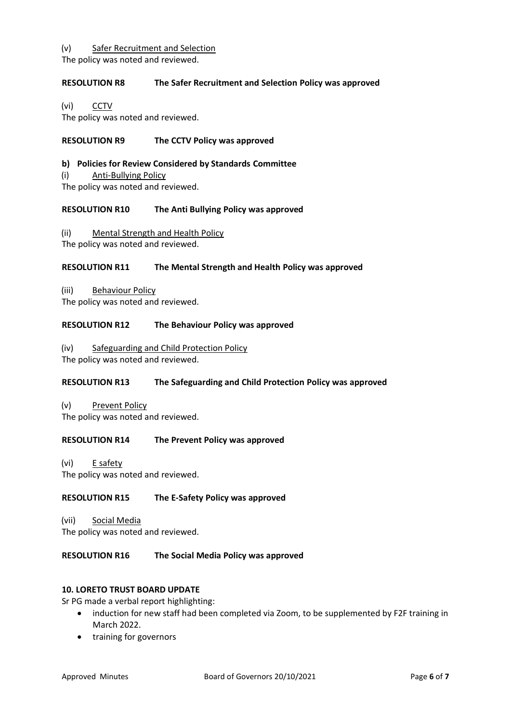### (v) Safer Recruitment and Selection

The policy was noted and reviewed.

# **RESOLUTION R8 The Safer Recruitment and Selection Policy was approved**

(vi) CCTV

The policy was noted and reviewed.

# **RESOLUTION R9 The CCTV Policy was approved**

## **b) Policies for Review Considered by Standards Committee**

(i) Anti-Bullying Policy

The policy was noted and reviewed.

### **RESOLUTION R10 The Anti Bullying Policy was approved**

(ii) Mental Strength and Health Policy

The policy was noted and reviewed.

# **RESOLUTION R11 The Mental Strength and Health Policy was approved**

(iii) Behaviour Policy

The policy was noted and reviewed.

### **RESOLUTION R12 The Behaviour Policy was approved**

(iv) Safeguarding and Child Protection Policy The policy was noted and reviewed.

## **RESOLUTION R13 The Safeguarding and Child Protection Policy was approved**

(v) Prevent Policy The policy was noted and reviewed.

## **RESOLUTION R14 The Prevent Policy was approved**

(vi) E safety The policy was noted and reviewed.

## **RESOLUTION R15 The E-Safety Policy was approved**

(vii) Social Media The policy was noted and reviewed.

## **RESOLUTION R16 The Social Media Policy was approved**

## **10. LORETO TRUST BOARD UPDATE**

Sr PG made a verbal report highlighting:

- induction for new staff had been completed via Zoom, to be supplemented by F2F training in March 2022.
- training for governors